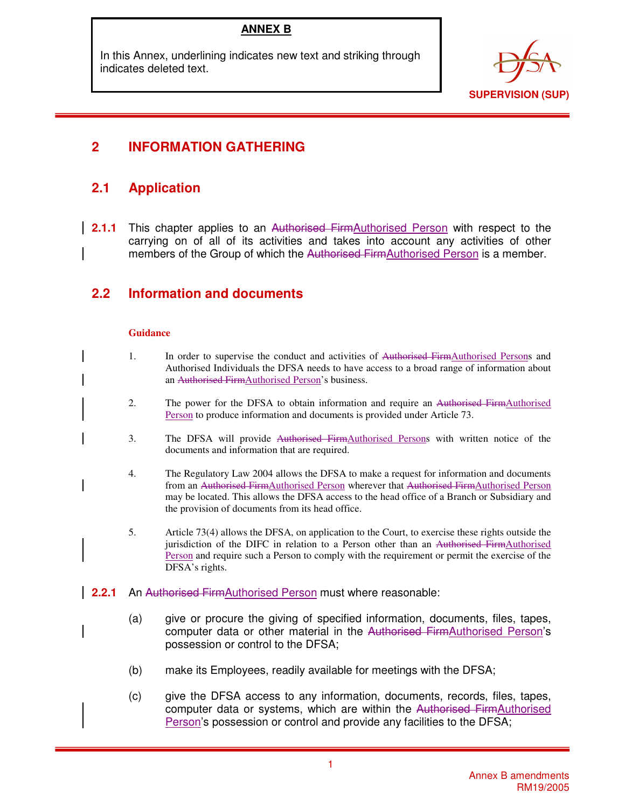## **ANNEX B**

In this Annex, underlining indicates new text and striking through indicates deleted text.



# **2 INFORMATION GATHERING**

# **2.1 Application**

**2.1.1** This chapter applies to an Authorised FirmAuthorised Person with respect to the carrying on of all of its activities and takes into account any activities of other members of the Group of which the Authorised FirmAuthorised Person is a member.

# **2.2 Information and documents**

### **Guidance**

- 1. In order to supervise the conduct and activities of Authorised FirmAuthorised Persons and Authorised Individuals the DFSA needs to have access to a broad range of information about an Authorised FirmAuthorised Person's business.
	- 2. The power for the DFSA to obtain information and require an Authorised FirmAuthorised Person to produce information and documents is provided under Article 73.
	- 3. The DFSA will provide Authorised FirmAuthorised Persons with written notice of the documents and information that are required.
	- 4. The Regulatory Law 2004 allows the DFSA to make a request for information and documents from an Authorised FirmAuthorised Person wherever that Authorised FirmAuthorised Person may be located. This allows the DFSA access to the head office of a Branch or Subsidiary and the provision of documents from its head office.
	- 5. Article 73(4) allows the DFSA, on application to the Court, to exercise these rights outside the jurisdiction of the DIFC in relation to a Person other than an Authorised FirmAuthorised Person and require such a Person to comply with the requirement or permit the exercise of the DFSA's rights.
- **2.2.1** An Authorised FirmAuthorised Person must where reasonable:
	- (a) give or procure the giving of specified information, documents, files, tapes, computer data or other material in the Authorised FirmAuthorised Person's possession or control to the DFSA;
	- (b) make its Employees, readily available for meetings with the DFSA;
	- (c) give the DFSA access to any information, documents, records, files, tapes, computer data or systems, which are within the Authorised FirmAuthorised Person's possession or control and provide any facilities to the DFSA;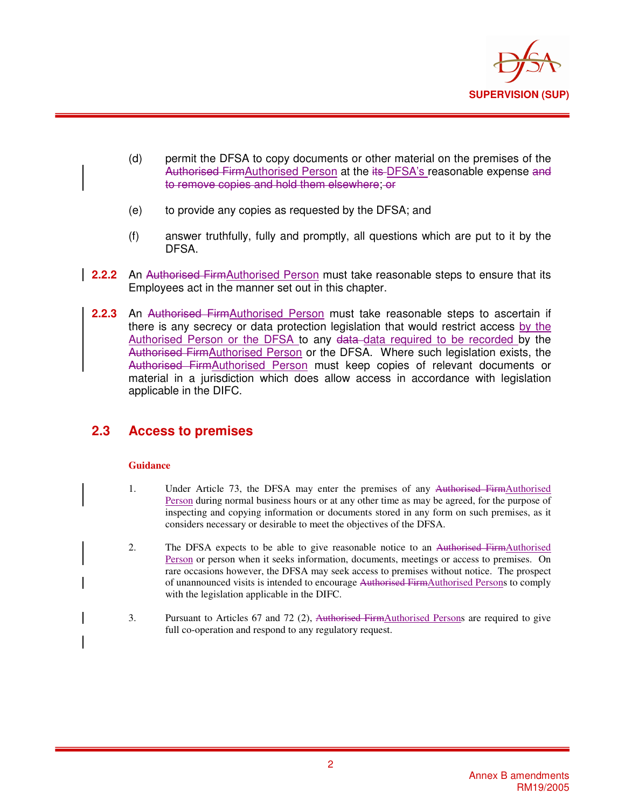

- (d) permit the DFSA to copy documents or other material on the premises of the Authorised FirmAuthorised Person at the its-DFSA's reasonable expense and to remove copies and hold them elsewhere; or
- (e) to provide any copies as requested by the DFSA; and
- (f) answer truthfully, fully and promptly, all questions which are put to it by the DFSA.
- **2.2.2** An Authorised FirmAuthorised Person must take reasonable steps to ensure that its Employees act in the manner set out in this chapter.
- **2.2.3** An Authorised FirmAuthorised Person must take reasonable steps to ascertain if there is any secrecy or data protection legislation that would restrict access by the Authorised Person or the DFSA to any data data required to be recorded by the Authorised FirmAuthorised Person or the DFSA. Where such legislation exists, the Authorised FirmAuthorised Person must keep copies of relevant documents or material in a jurisdiction which does allow access in accordance with legislation applicable in the DIFC.

## **2.3 Access to premises**

### **Guidance**

- 1. Under Article 73, the DFSA may enter the premises of any Authorised FirmAuthorised Person during normal business hours or at any other time as may be agreed, for the purpose of inspecting and copying information or documents stored in any form on such premises, as it considers necessary or desirable to meet the objectives of the DFSA.
- 2. The DFSA expects to be able to give reasonable notice to an Authorised FirmAuthorised Person or person when it seeks information, documents, meetings or access to premises. On rare occasions however, the DFSA may seek access to premises without notice. The prospect of unannounced visits is intended to encourage Authorised FirmAuthorised Persons to comply with the legislation applicable in the DIFC.
- 3. Pursuant to Articles 67 and 72 (2), Authorised FirmAuthorised Persons are required to give full co-operation and respond to any regulatory request.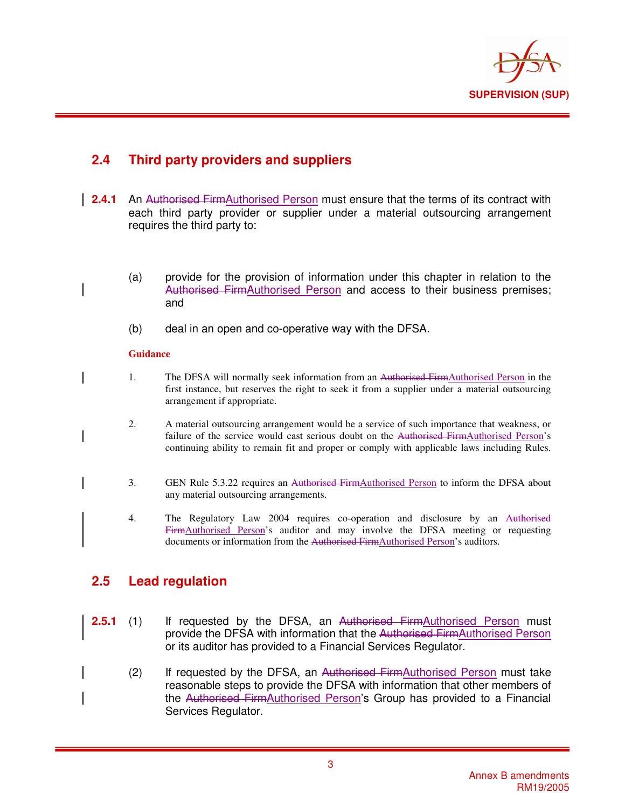

## **2.4 Third party providers and suppliers**

- **2.4.1** An Authorised FirmAuthorised Person must ensure that the terms of its contract with each third party provider or supplier under a material outsourcing arrangement requires the third party to:
	- (a) provide for the provision of information under this chapter in relation to the Authorised FirmAuthorised Person and access to their business premises; and
		- (b) deal in an open and co-operative way with the DFSA.

### **Guidance**

- 1. The DFSA will normally seek information from an Authorised FirmAuthorised Person in the first instance, but reserves the right to seek it from a supplier under a material outsourcing arrangement if appropriate.
	- 2. A material outsourcing arrangement would be a service of such importance that weakness, or failure of the service would cast serious doubt on the Authorised FirmAuthorised Person's continuing ability to remain fit and proper or comply with applicable laws including Rules.
	- 3. GEN Rule 5.3.22 requires an Authorised FirmAuthorised Person to inform the DFSA about any material outsourcing arrangements.
	- 4. The Regulatory Law 2004 requires co-operation and disclosure by an Authorised FirmAuthorised Person's auditor and may involve the DFSA meeting or requesting documents or information from the Authorised FirmAuthorised Person's auditors.

## **2.5 Lead regulation**

- **2.5.1** (1) If requested by the DFSA, an Authorised FirmAuthorised Person must provide the DFSA with information that the Authorised FirmAuthorised Person or its auditor has provided to a Financial Services Regulator.
	- (2) If requested by the DFSA, an Authorised FirmAuthorised Person must take reasonable steps to provide the DFSA with information that other members of the Authorised FirmAuthorised Person's Group has provided to a Financial Services Regulator.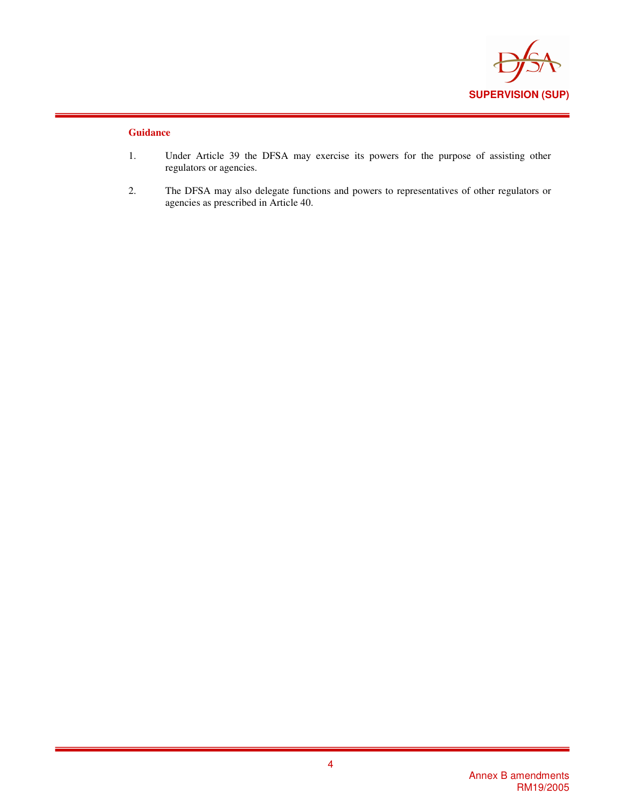

### **Guidance**

- 1. Under Article 39 the DFSA may exercise its powers for the purpose of assisting other regulators or agencies.
- 2. The DFSA may also delegate functions and powers to representatives of other regulators or agencies as prescribed in Article 40.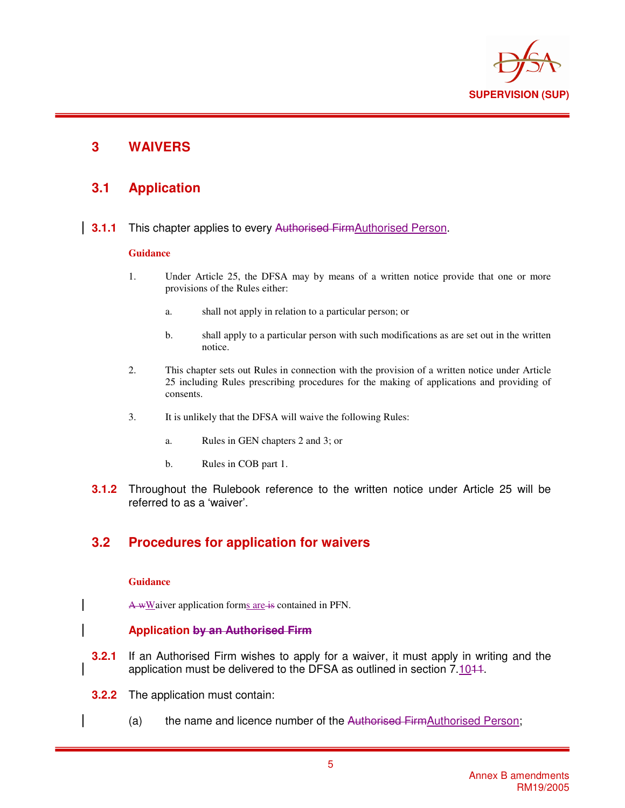

## **3 WAIVERS**

## **3.1 Application**

**3.1.1** This chapter applies to every Authorised FirmAuthorised Person.

### **Guidance**

- 1. Under Article 25, the DFSA may by means of a written notice provide that one or more provisions of the Rules either:
	- a. shall not apply in relation to a particular person; or
	- b. shall apply to a particular person with such modifications as are set out in the written notice.
- 2. This chapter sets out Rules in connection with the provision of a written notice under Article 25 including Rules prescribing procedures for the making of applications and providing of consents.
- 3. It is unlikely that the DFSA will waive the following Rules:
	- a. Rules in GEN chapters 2 and 3; or
	- b. Rules in COB part 1.
- **3.1.2** Throughout the Rulebook reference to the written notice under Article 25 will be referred to as a 'waiver'.

## **3.2 Procedures for application for waivers**

### **Guidance**

A wWaiver application forms are is contained in PFN.

### **Application by an Authorised Firm**

- **3.2.1** If an Authorised Firm wishes to apply for a waiver, it must apply in writing and the application must be delivered to the DFSA as outlined in section 7.1011.
- **3.2.2** The application must contain:
	- (a) the name and licence number of the Authorised FirmAuthorised Person;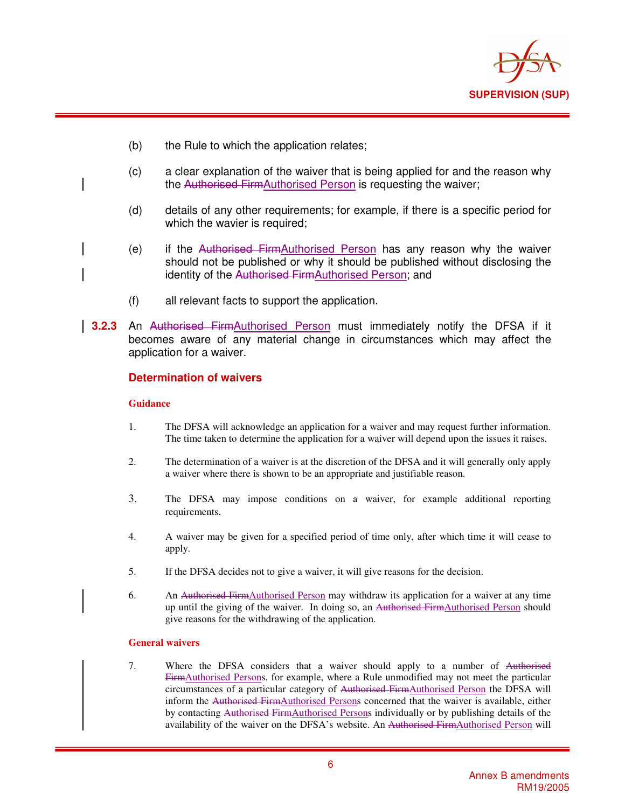

- (b) the Rule to which the application relates;
- (c) a clear explanation of the waiver that is being applied for and the reason why the Authorised FirmAuthorised Person is requesting the waiver;
- (d) details of any other requirements; for example, if there is a specific period for which the wavier is required;
- (e) if the Authorised FirmAuthorised Person has any reason why the waiver should not be published or why it should be published without disclosing the identity of the Authorised FirmAuthorised Person; and
- (f) all relevant facts to support the application.
- **3.2.3** An Authorised FirmAuthorised Person must immediately notify the DFSA if it becomes aware of any material change in circumstances which may affect the application for a waiver.

### **Determination of waivers**

#### **Guidance**

- 1. The DFSA will acknowledge an application for a waiver and may request further information. The time taken to determine the application for a waiver will depend upon the issues it raises.
- 2. The determination of a waiver is at the discretion of the DFSA and it will generally only apply a waiver where there is shown to be an appropriate and justifiable reason.
- 3. The DFSA may impose conditions on a waiver, for example additional reporting requirements.
- 4. A waiver may be given for a specified period of time only, after which time it will cease to apply.
- 5. If the DFSA decides not to give a waiver, it will give reasons for the decision.
- 6. An Authorised FirmAuthorised Person may withdraw its application for a waiver at any time up until the giving of the waiver. In doing so, an Authorised FirmAuthorised Person should give reasons for the withdrawing of the application.

#### **General waivers**

7. Where the DFSA considers that a waiver should apply to a number of Authorised FirmAuthorised Persons, for example, where a Rule unmodified may not meet the particular circumstances of a particular category of Authorised FirmAuthorised Person the DFSA will inform the Authorised FirmAuthorised Persons concerned that the waiver is available, either by contacting Authorised FirmAuthorised Persons individually or by publishing details of the availability of the waiver on the DFSA's website. An Authorised FirmAuthorised Person will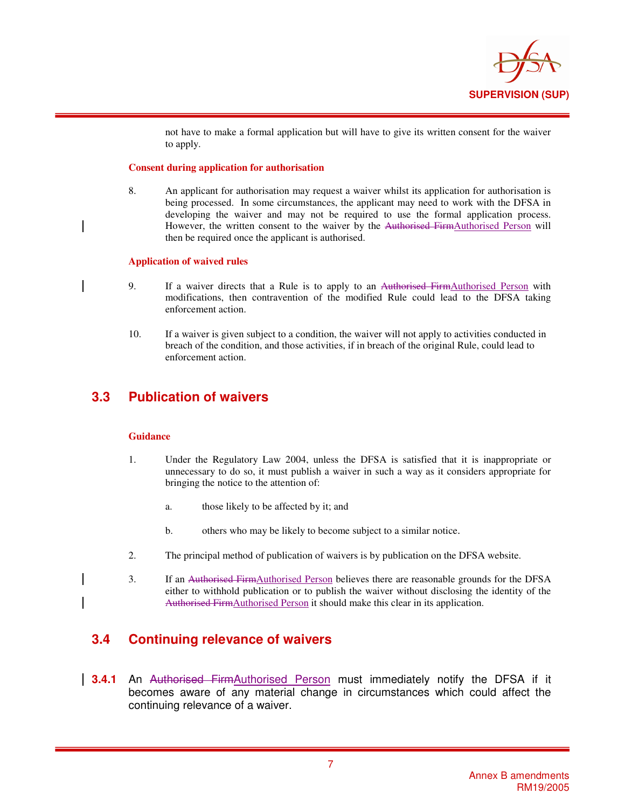

not have to make a formal application but will have to give its written consent for the waiver to apply.

#### **Consent during application for authorisation**

8. An applicant for authorisation may request a waiver whilst its application for authorisation is being processed. In some circumstances, the applicant may need to work with the DFSA in developing the waiver and may not be required to use the formal application process. However, the written consent to the waiver by the Authorised FirmAuthorised Person will then be required once the applicant is authorised.

#### **Application of waived rules**

- 9. If a waiver directs that a Rule is to apply to an Authorised FirmAuthorised Person with modifications, then contravention of the modified Rule could lead to the DFSA taking enforcement action.
- 10. If a waiver is given subject to a condition, the waiver will not apply to activities conducted in breach of the condition, and those activities, if in breach of the original Rule, could lead to enforcement action.

### **3.3 Publication of waivers**

#### **Guidance**

- 1. Under the Regulatory Law 2004, unless the DFSA is satisfied that it is inappropriate or unnecessary to do so, it must publish a waiver in such a way as it considers appropriate for bringing the notice to the attention of:
	- a. those likely to be affected by it; and
	- b. others who may be likely to become subject to a similar notice.
- 2. The principal method of publication of waivers is by publication on the DFSA website.
- 3. If an Authorised FirmAuthorised Person believes there are reasonable grounds for the DFSA either to withhold publication or to publish the waiver without disclosing the identity of the Authorised FirmAuthorised Person it should make this clear in its application.

## **3.4 Continuing relevance of waivers**

**3.4.1** An Authorised FirmAuthorised Person must immediately notify the DFSA if it becomes aware of any material change in circumstances which could affect the continuing relevance of a waiver.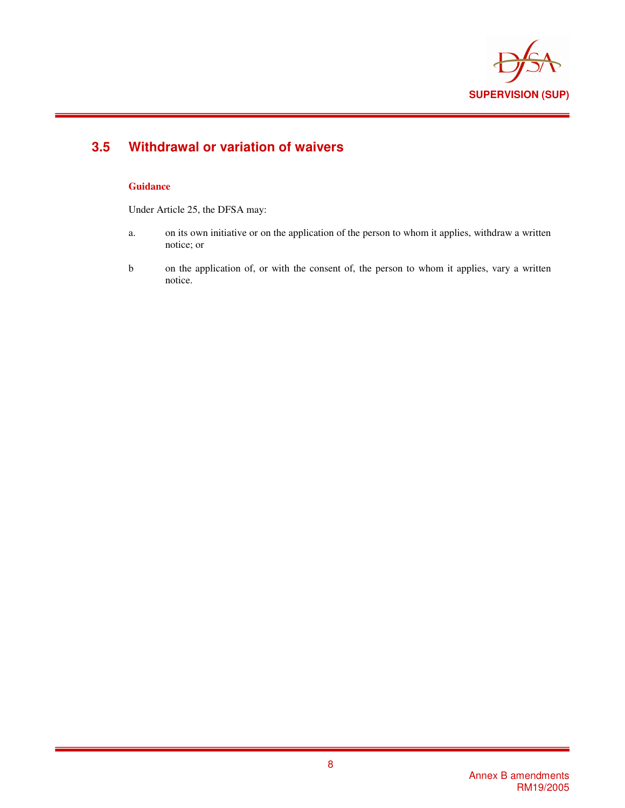

# **3.5 Withdrawal or variation of waivers**

### **Guidance**

Under Article 25, the DFSA may:

- a. on its own initiative or on the application of the person to whom it applies, withdraw a written notice; or
- b on the application of, or with the consent of, the person to whom it applies, vary a written notice.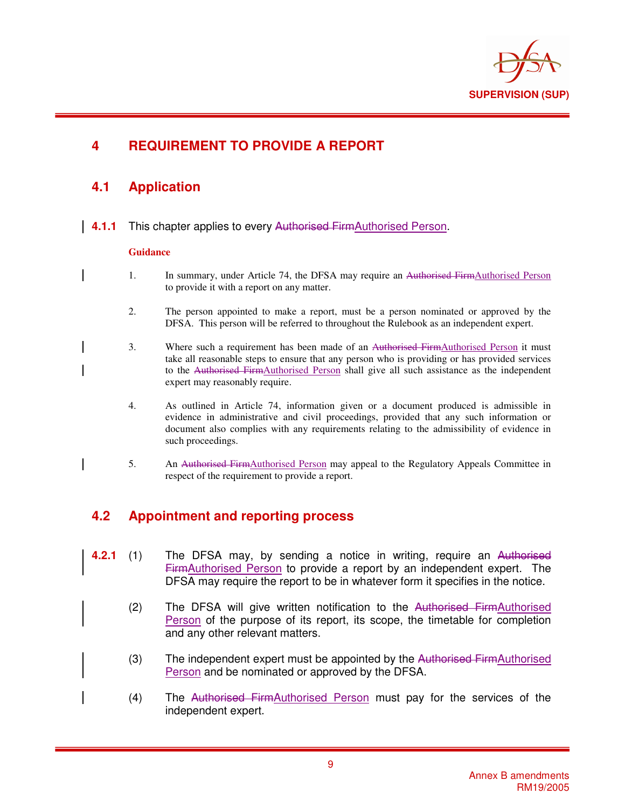

# **4 REQUIREMENT TO PROVIDE A REPORT**

## **4.1 Application**

**4.1.1** This chapter applies to every Authorised FirmAuthorised Person.

### **Guidance**

- 1. In summary, under Article 74, the DFSA may require an <del>Authorised Firm</del>Authorised Person to provide it with a report on any matter.
	- 2. The person appointed to make a report, must be a person nominated or approved by the DFSA. This person will be referred to throughout the Rulebook as an independent expert.
- 3. Where such a requirement has been made of an Authorised FirmAuthorised Person it must take all reasonable steps to ensure that any person who is providing or has provided services to the Authorised FirmAuthorised Person shall give all such assistance as the independent expert may reasonably require.
- 4. As outlined in Article 74, information given or a document produced is admissible in evidence in administrative and civil proceedings, provided that any such information or document also complies with any requirements relating to the admissibility of evidence in such proceedings.
- 5. An Authorised FirmAuthorised Person may appeal to the Regulatory Appeals Committee in respect of the requirement to provide a report.

## **4.2 Appointment and reporting process**

- **4.2.1** (1) The DFSA may, by sending a notice in writing, require an Authorised FirmAuthorised Person to provide a report by an independent expert. The DFSA may require the report to be in whatever form it specifies in the notice.
	- (2) The DFSA will give written notification to the Authorised FirmAuthorised Person of the purpose of its report, its scope, the timetable for completion and any other relevant matters.
	- (3) The independent expert must be appointed by the Authorised FirmAuthorised Person and be nominated or approved by the DFSA.
	- (4) The Authorised FirmAuthorised Person must pay for the services of the independent expert.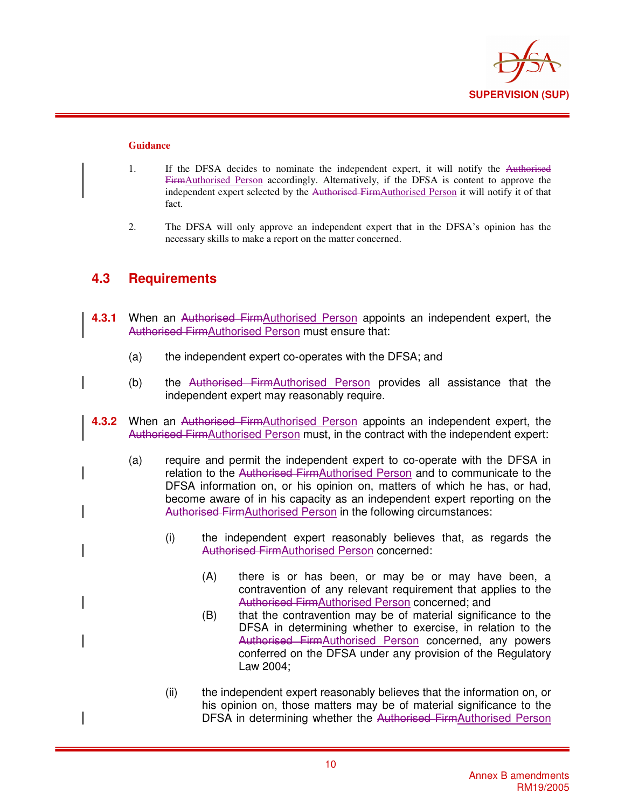

#### **Guidance**

- 1. If the DFSA decides to nominate the independent expert, it will notify the Authorised FirmAuthorised Person accordingly. Alternatively, if the DFSA is content to approve the independent expert selected by the Authorised FirmAuthorised Person it will notify it of that fact.
- 2. The DFSA will only approve an independent expert that in the DFSA's opinion has the necessary skills to make a report on the matter concerned.

## **4.3 Requirements**

- **4.3.1** When an Authorised FirmAuthorised Person appoints an independent expert, the Authorised FirmAuthorised Person must ensure that:
	- (a) the independent expert co-operates with the DFSA; and
	- (b) the Authorised FirmAuthorised Person provides all assistance that the independent expert may reasonably require.
- **4.3.2** When an Authorised FirmAuthorised Person appoints an independent expert, the Authorised FirmAuthorised Person must, in the contract with the independent expert:
	- (a) require and permit the independent expert to co-operate with the DFSA in relation to the Authorised FirmAuthorised Person and to communicate to the DFSA information on, or his opinion on, matters of which he has, or had, become aware of in his capacity as an independent expert reporting on the Authorised FirmAuthorised Person in the following circumstances:
		- (i) the independent expert reasonably believes that, as regards the Authorised FirmAuthorised Person concerned:
			- (A) there is or has been, or may be or may have been, a contravention of any relevant requirement that applies to the Authorised FirmAuthorised Person concerned; and
			- (B) that the contravention may be of material significance to the DFSA in determining whether to exercise, in relation to the Authorised FirmAuthorised Person concerned, any powers conferred on the DFSA under any provision of the Regulatory Law 2004;
		- (ii) the independent expert reasonably believes that the information on, or his opinion on, those matters may be of material significance to the DFSA in determining whether the Authorised FirmAuthorised Person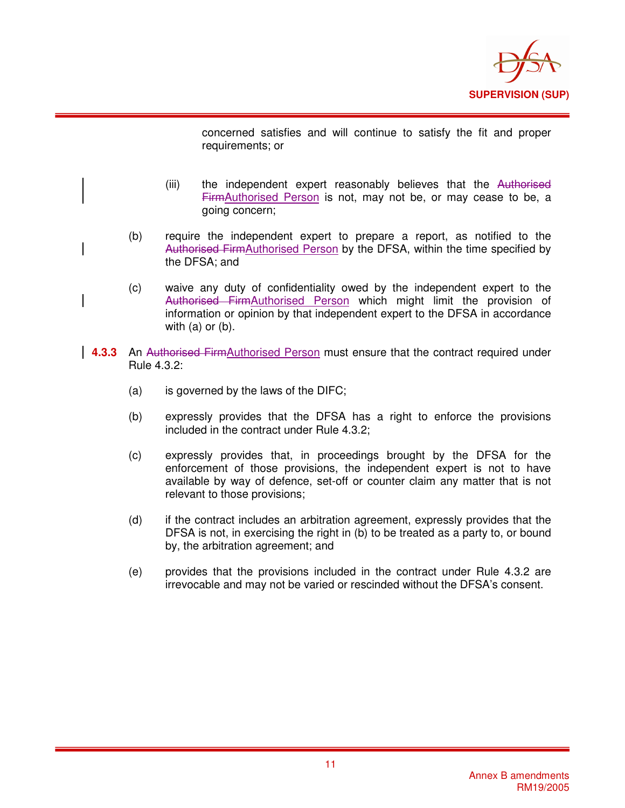

concerned satisfies and will continue to satisfy the fit and proper requirements; or

- (iii) the independent expert reasonably believes that the Authorised FirmAuthorised Person is not, may not be, or may cease to be, a going concern;
- (b) require the independent expert to prepare a report, as notified to the Authorised FirmAuthorised Person by the DFSA, within the time specified by the DFSA; and
- (c) waive any duty of confidentiality owed by the independent expert to the Authorised FirmAuthorised Person which might limit the provision of information or opinion by that independent expert to the DFSA in accordance with  $(a)$  or  $(b)$ .
- **4.3.3** An Authorised FirmAuthorised Person must ensure that the contract required under Rule 4.3.2:
	- (a) is governed by the laws of the DIFC;
	- (b) expressly provides that the DFSA has a right to enforce the provisions included in the contract under Rule 4.3.2;
	- (c) expressly provides that, in proceedings brought by the DFSA for the enforcement of those provisions, the independent expert is not to have available by way of defence, set-off or counter claim any matter that is not relevant to those provisions;
	- (d) if the contract includes an arbitration agreement, expressly provides that the DFSA is not, in exercising the right in (b) to be treated as a party to, or bound by, the arbitration agreement; and
	- (e) provides that the provisions included in the contract under Rule 4.3.2 are irrevocable and may not be varied or rescinded without the DFSA's consent.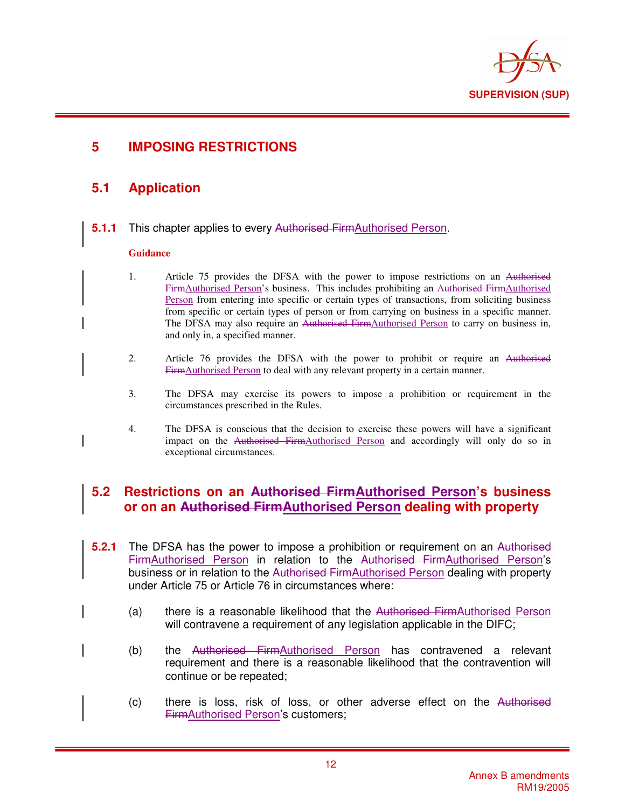

# **5 IMPOSING RESTRICTIONS**

## **5.1 Application**

**5.1.1** This chapter applies to every Authorised FirmAuthorised Person.

### **Guidance**

- 1. Article 75 provides the DFSA with the power to impose restrictions on an Authorised FirmAuthorised Person's business. This includes prohibiting an Authorised FirmAuthorised Person from entering into specific or certain types of transactions, from soliciting business from specific or certain types of person or from carrying on business in a specific manner. The DFSA may also require an Authorised FirmAuthorised Person to carry on business in, and only in, a specified manner.
- 2. Article 76 provides the DFSA with the power to prohibit or require an Authorised FirmAuthorised Person to deal with any relevant property in a certain manner.
- 3. The DFSA may exercise its powers to impose a prohibition or requirement in the circumstances prescribed in the Rules.
- 4. The DFSA is conscious that the decision to exercise these powers will have a significant impact on the Authorised FirmAuthorised Person and accordingly will only do so in exceptional circumstances.

### **5.2 Restrictions on an Authorised FirmAuthorised Person's business or on an Authorised FirmAuthorised Person dealing with property**

- **5.2.1** The DFSA has the power to impose a prohibition or requirement on an Authorised FirmAuthorised Person in relation to the Authorised FirmAuthorised Person's business or in relation to the Authorised FirmAuthorised Person dealing with property under Article 75 or Article 76 in circumstances where:
	- (a) there is a reasonable likelihood that the Authorised FirmAuthorised Person will contravene a requirement of any legislation applicable in the DIFC;
	- (b) the Authorised FirmAuthorised Person has contravened a relevant requirement and there is a reasonable likelihood that the contravention will continue or be repeated;
	- (c) there is loss, risk of loss, or other adverse effect on the Authorised FirmAuthorised Person's customers;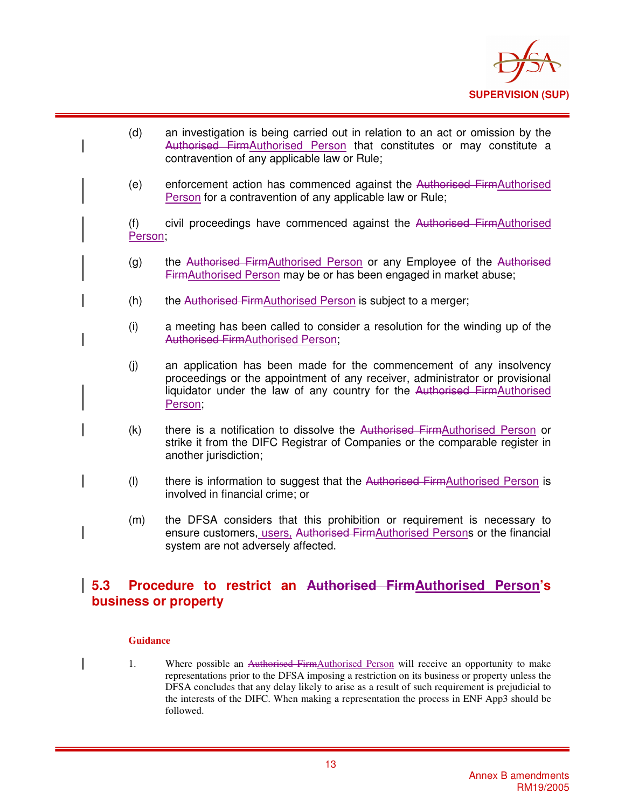

- (d) an investigation is being carried out in relation to an act or omission by the Authorised FirmAuthorised Person that constitutes or may constitute a contravention of any applicable law or Rule;
- (e) enforcement action has commenced against the Authorised FirmAuthorised Person for a contravention of any applicable law or Rule;

(f) civil proceedings have commenced against the Authorised FirmAuthorised Person;

- (g) the Authorised FirmAuthorised Person or any Employee of the Authorised FirmAuthorised Person may be or has been engaged in market abuse;
- (h) the Authorised FirmAuthorised Person is subject to a merger;
- (i) a meeting has been called to consider a resolution for the winding up of the Authorised FirmAuthorised Person;
- (j) an application has been made for the commencement of any insolvency proceedings or the appointment of any receiver, administrator or provisional liquidator under the law of any country for the Authorised FirmAuthorised Person;
- (k) there is a notification to dissolve the Authorised FirmAuthorised Person or strike it from the DIFC Registrar of Companies or the comparable register in another jurisdiction;
- (I) there is information to suggest that the Authorised FirmAuthorised Person is involved in financial crime; or
- (m) the DFSA considers that this prohibition or requirement is necessary to ensure customers, users, Authorised FirmAuthorised Persons or the financial system are not adversely affected.

## **5.3 Procedure to restrict an Authorised FirmAuthorised Person's business or property**

#### **Guidance**

1. Where possible an Authorised FirmAuthorised Person will receive an opportunity to make representations prior to the DFSA imposing a restriction on its business or property unless the DFSA concludes that any delay likely to arise as a result of such requirement is prejudicial to the interests of the DIFC. When making a representation the process in ENF App3 should be followed.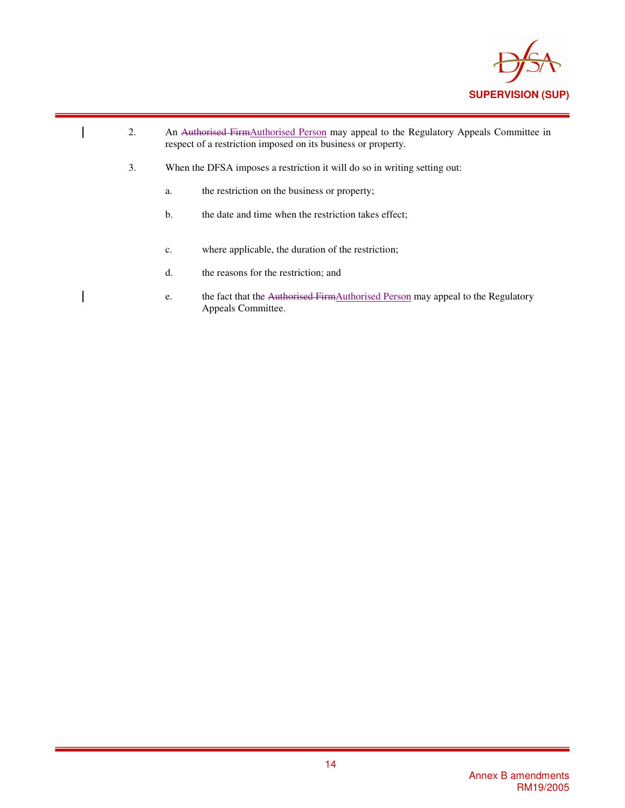

- 2. An Authorised FirmAuthorised Person may appeal to the Regulatory Appeals Committee in respect of a restriction imposed on its business or property.
- 3. When the DFSA imposes a restriction it will do so in writing setting out:
	- a. the restriction on the business or property;
	- b. the date and time when the restriction takes effect;
	- c. where applicable, the duration of the restriction;
	- d. the reasons for the restriction; and

 $\overline{\phantom{a}}$ 

e. the fact that the Authorised FirmAuthorised Person may appeal to the Regulatory Appeals Committee.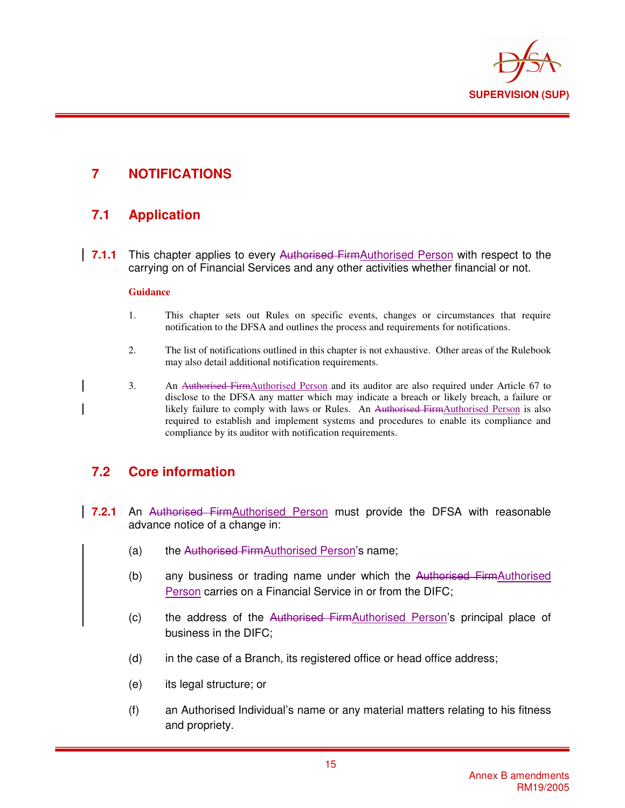

# **7 NOTIFICATIONS**

# **7.1 Application**

**7.1.1** This chapter applies to every Authorised FirmAuthorised Person with respect to the carrying on of Financial Services and any other activities whether financial or not.

### **Guidance**

- 1. This chapter sets out Rules on specific events, changes or circumstances that require notification to the DFSA and outlines the process and requirements for notifications.
- 2. The list of notifications outlined in this chapter is not exhaustive. Other areas of the Rulebook may also detail additional notification requirements.
- 3. An Authorised FirmAuthorised Person and its auditor are also required under Article 67 to disclose to the DFSA any matter which may indicate a breach or likely breach, a failure or likely failure to comply with laws or Rules. An Authorised FirmAuthorised Person is also required to establish and implement systems and procedures to enable its compliance and compliance by its auditor with notification requirements.

## **7.2 Core information**

- **7.2.1** An Authorised FirmAuthorised Person must provide the DFSA with reasonable advance notice of a change in:
	- (a) the Authorised FirmAuthorised Person's name;
	- (b) any business or trading name under which the Authorised FirmAuthorised Person carries on a Financial Service in or from the DIFC;
	- (c) the address of the Authorised FirmAuthorised Person's principal place of business in the DIFC;
	- (d) in the case of a Branch, its registered office or head office address;
	- (e) its legal structure; or
	- (f) an Authorised Individual's name or any material matters relating to his fitness and propriety.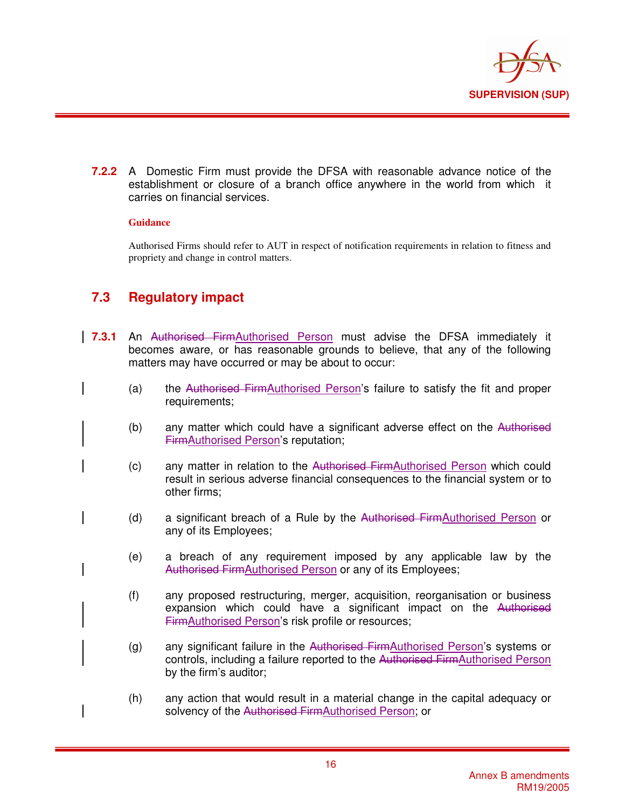

**7.2.2** A Domestic Firm must provide the DFSA with reasonable advance notice of the establishment or closure of a branch office anywhere in the world from which it carries on financial services.

### **Guidance**

Authorised Firms should refer to AUT in respect of notification requirements in relation to fitness and propriety and change in control matters.

# **7.3 Regulatory impact**

- **7.3.1** An Authorised FirmAuthorised Person must advise the DFSA immediately it becomes aware, or has reasonable grounds to believe, that any of the following matters may have occurred or may be about to occur:
	- (a) the Authorised FirmAuthorised Person's failure to satisfy the fit and proper requirements;
	- (b) any matter which could have a significant adverse effect on the Authorised FirmAuthorised Person's reputation;
	- (c) any matter in relation to the Authorised FirmAuthorised Person which could result in serious adverse financial consequences to the financial system or to other firms;
	- (d) a significant breach of a Rule by the Authorised FirmAuthorised Person or any of its Employees;
	- (e) a breach of any requirement imposed by any applicable law by the Authorised FirmAuthorised Person or any of its Employees;
	- (f) any proposed restructuring, merger, acquisition, reorganisation or business expansion which could have a significant impact on the Authorised FirmAuthorised Person's risk profile or resources;
	- (g) any significant failure in the Authorised FirmAuthorised Person's systems or controls, including a failure reported to the Authorised FirmAuthorised Person by the firm's auditor;
	- (h) any action that would result in a material change in the capital adequacy or solvency of the Authorised FirmAuthorised Person; or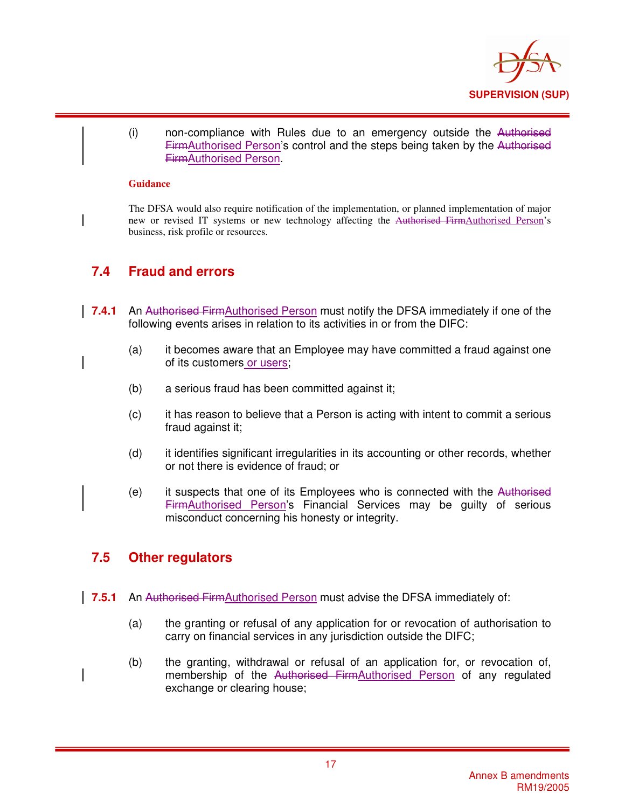

(i) non-compliance with Rules due to an emergency outside the Authorised FirmAuthorised Person's control and the steps being taken by the Authorised FirmAuthorised Person.

#### **Guidance**

The DFSA would also require notification of the implementation, or planned implementation of major new or revised IT systems or new technology affecting the Authorised FirmAuthorised Person's business, risk profile or resources.

## **7.4 Fraud and errors**

- **7.4.1** An Authorised FirmAuthorised Person must notify the DFSA immediately if one of the following events arises in relation to its activities in or from the DIFC:
	- (a) it becomes aware that an Employee may have committed a fraud against one of its customers or users;
	- (b) a serious fraud has been committed against it;
	- (c) it has reason to believe that a Person is acting with intent to commit a serious fraud against it;
	- (d) it identifies significant irregularities in its accounting or other records, whether or not there is evidence of fraud; or
	- (e) it suspects that one of its Employees who is connected with the Authorised FirmAuthorised Person's Financial Services may be guilty of serious misconduct concerning his honesty or integrity.

## **7.5 Other regulators**

- **7.5.1** An Authorised FirmAuthorised Person must advise the DFSA immediately of:
	- (a) the granting or refusal of any application for or revocation of authorisation to carry on financial services in any jurisdiction outside the DIFC;
	- (b) the granting, withdrawal or refusal of an application for, or revocation of, membership of the Authorised FirmAuthorised Person of any regulated exchange or clearing house;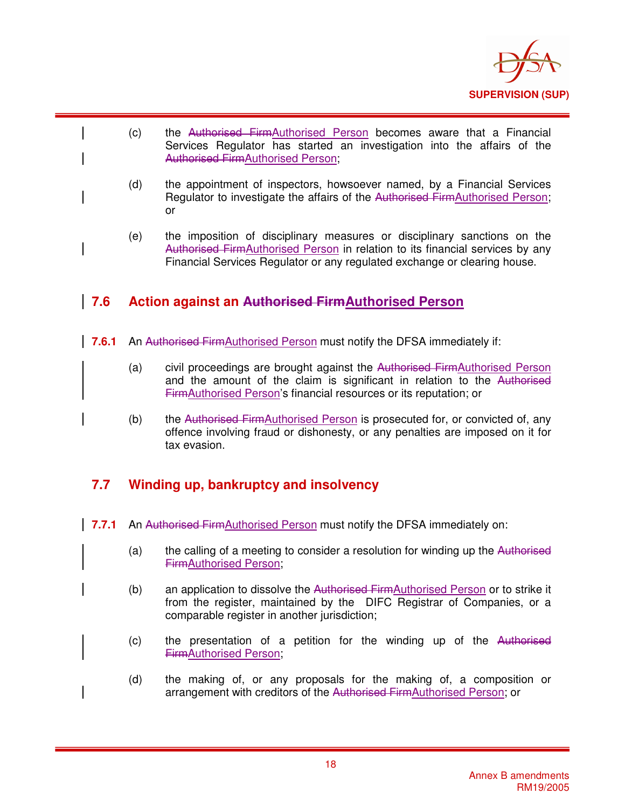

- (c) the Authorised FirmAuthorised Person becomes aware that a Financial Services Regulator has started an investigation into the affairs of the Authorised FirmAuthorised Person;
- (d) the appointment of inspectors, howsoever named, by a Financial Services Regulator to investigate the affairs of the Authorised FirmAuthorised Person; or
- (e) the imposition of disciplinary measures or disciplinary sanctions on the Authorised FirmAuthorised Person in relation to its financial services by any Financial Services Regulator or any regulated exchange or clearing house.

# **7.6 Action against an Authorised FirmAuthorised Person**

- **7.6.1** An Authorised FirmAuthorised Person must notify the DFSA immediately if:
	- (a) civil proceedings are brought against the Authorised FirmAuthorised Person and the amount of the claim is significant in relation to the Authorised FirmAuthorised Person's financial resources or its reputation; or
	- (b) the Authorised FirmAuthorised Person is prosecuted for, or convicted of, any offence involving fraud or dishonesty, or any penalties are imposed on it for tax evasion.

## **7.7 Winding up, bankruptcy and insolvency**

- **7.7.1** An Authorised FirmAuthorised Person must notify the DFSA immediately on:
	- $(a)$  the calling of a meeting to consider a resolution for winding up the Authorised FirmAuthorised Person;
	- (b) an application to dissolve the Authorised FirmAuthorised Person or to strike it from the register, maintained by the DIFC Registrar of Companies, or a comparable register in another jurisdiction;
	- (c) the presentation of a petition for the winding up of the Authorised FirmAuthorised Person;
	- (d) the making of, or any proposals for the making of, a composition or arrangement with creditors of the Authorised FirmAuthorised Person; or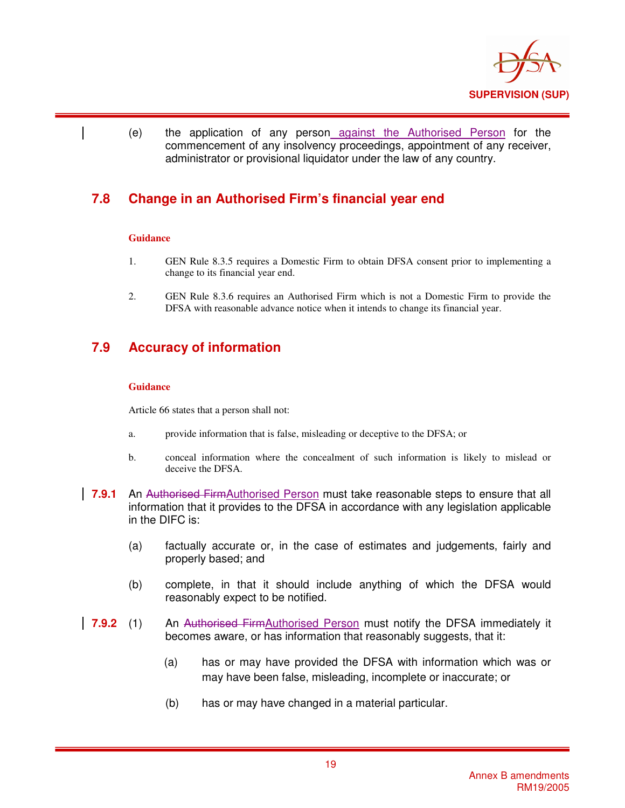

(e) the application of any person against the Authorised Person for the commencement of any insolvency proceedings, appointment of any receiver, administrator or provisional liquidator under the law of any country.

## **7.8 Change in an Authorised Firm's financial year end**

### **Guidance**

- 1. GEN Rule 8.3.5 requires a Domestic Firm to obtain DFSA consent prior to implementing a change to its financial year end.
- 2. GEN Rule 8.3.6 requires an Authorised Firm which is not a Domestic Firm to provide the DFSA with reasonable advance notice when it intends to change its financial year.

## **7.9 Accuracy of information**

### **Guidance**

Article 66 states that a person shall not:

- a. provide information that is false, misleading or deceptive to the DFSA; or
- b. conceal information where the concealment of such information is likely to mislead or deceive the DFSA.
- **7.9.1** An Authorised FirmAuthorised Person must take reasonable steps to ensure that all information that it provides to the DFSA in accordance with any legislation applicable in the DIFC is:
	- (a) factually accurate or, in the case of estimates and judgements, fairly and properly based; and
	- (b) complete, in that it should include anything of which the DFSA would reasonably expect to be notified.
- **7.9.2** (1) An Authorised FirmAuthorised Person must notify the DFSA immediately it becomes aware, or has information that reasonably suggests, that it:
	- (a) has or may have provided the DFSA with information which was or may have been false, misleading, incomplete or inaccurate; or
	- (b) has or may have changed in a material particular.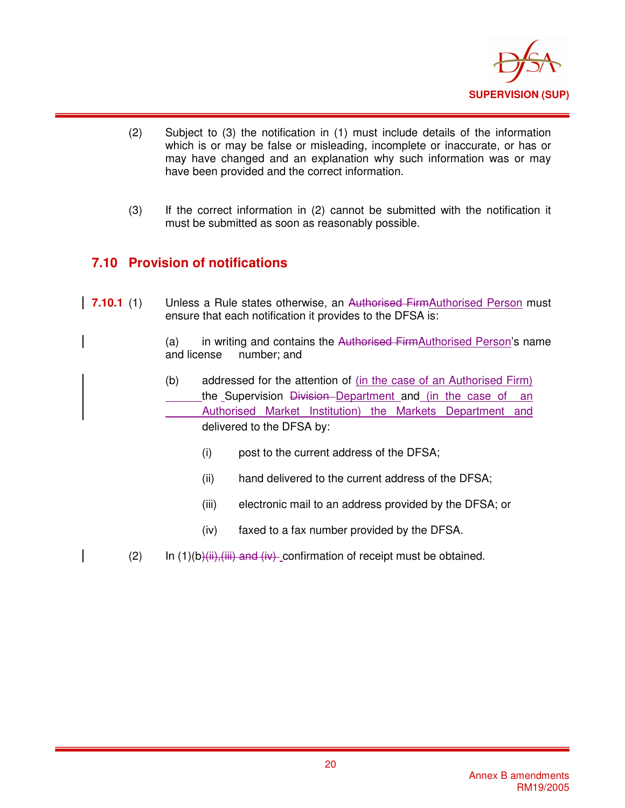

- (2) Subject to (3) the notification in (1) must include details of the information which is or may be false or misleading, incomplete or inaccurate, or has or may have changed and an explanation why such information was or may have been provided and the correct information.
- (3) If the correct information in (2) cannot be submitted with the notification it must be submitted as soon as reasonably possible.

# **7.10 Provision of notifications**

**7.10.1** (1) Unless a Rule states otherwise, an Authorised FirmAuthorised Person must ensure that each notification it provides to the DFSA is:

> (a) in writing and contains the Authorised Firm Authorised Person's name and license number; and number; and

- (b) addressed for the attention of (in the case of an Authorised Firm) the Supervision Division Department and (in the case of an Authorised Market Institution) the Markets Department and delivered to the DFSA by:
	- (i) post to the current address of the DFSA;
	- (ii) hand delivered to the current address of the DFSA;
	- (iii) electronic mail to an address provided by the DFSA; or
	- (iv) faxed to a fax number provided by the DFSA.
- (2) In  $(1)(b)$ (iii), (iii) and (iv) confirmation of receipt must be obtained.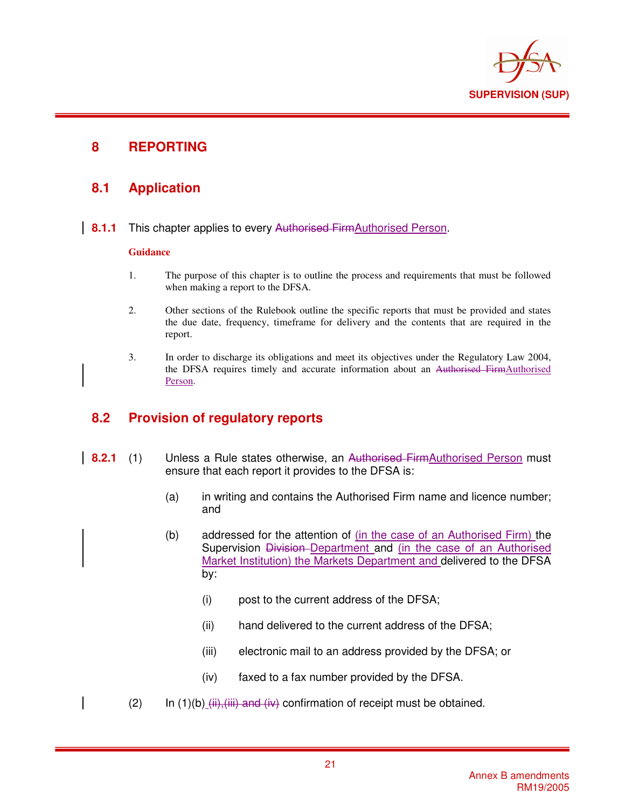

## **8 REPORTING**

## **8.1 Application**

**8.1.1** This chapter applies to every Authorised FirmAuthorised Person.

### **Guidance**

- 1. The purpose of this chapter is to outline the process and requirements that must be followed when making a report to the DFSA.
- 2. Other sections of the Rulebook outline the specific reports that must be provided and states the due date, frequency, timeframe for delivery and the contents that are required in the report.
- 3. In order to discharge its obligations and meet its objectives under the Regulatory Law 2004, the DFSA requires timely and accurate information about an Authorised FirmAuthorised Person.

## **8.2 Provision of regulatory reports**

- **8.2.1** (1) Unless a Rule states otherwise, an Authorised FirmAuthorised Person must ensure that each report it provides to the DFSA is:
	- (a) in writing and contains the Authorised Firm name and licence number; and
	- (b) addressed for the attention of (in the case of an Authorised Firm) the Supervision Division-Department and (in the case of an Authorised Market Institution) the Markets Department and delivered to the DFSA by:
		- (i) post to the current address of the DFSA;
		- (ii) hand delivered to the current address of the DFSA;
		- (iii) electronic mail to an address provided by the DFSA; or
		- (iv) faxed to a fax number provided by the DFSA.
	- (2) In  $(1)(b)$  (iii), (iii) and (iv) confirmation of receipt must be obtained.